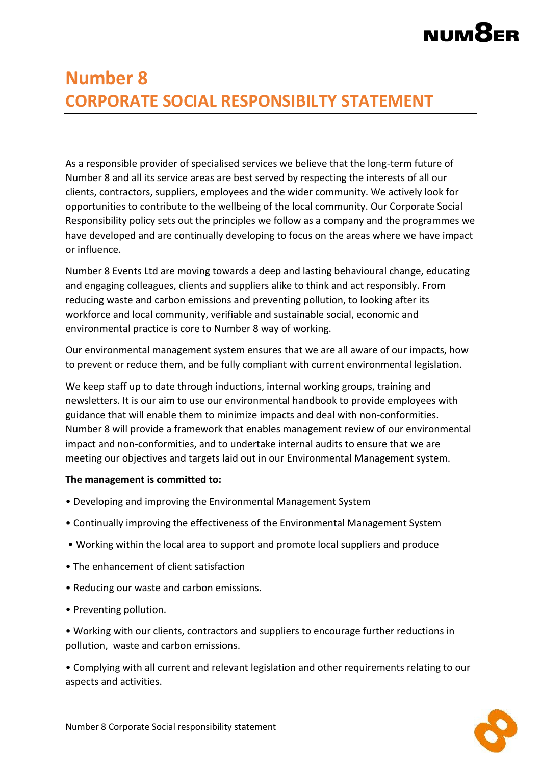# **NUM8**

### **Number 8 CORPORATE SOCIAL RESPONSIBILTY STATEMENT**

As a responsible provider of specialised services we believe that the long-term future of Number 8 and all its service areas are best served by respecting the interests of all our clients, contractors, suppliers, employees and the wider community. We actively look for opportunities to contribute to the wellbeing of the local community. Our Corporate Social Responsibility policy sets out the principles we follow as a company and the programmes we have developed and are continually developing to focus on the areas where we have impact or influence.

Number 8 Events Ltd are moving towards a deep and lasting behavioural change, educating and engaging colleagues, clients and suppliers alike to think and act responsibly. From reducing waste and carbon emissions and preventing pollution, to looking after its workforce and local community, verifiable and sustainable social, economic and environmental practice is core to Number 8 way of working.

Our environmental management system ensures that we are all aware of our impacts, how to prevent or reduce them, and be fully compliant with current environmental legislation.

We keep staff up to date through inductions, internal working groups, training and newsletters. It is our aim to use our environmental handbook to provide employees with guidance that will enable them to minimize impacts and deal with non-conformities. Number 8 will provide a framework that enables management review of our environmental impact and non-conformities, and to undertake internal audits to ensure that we are meeting our objectives and targets laid out in our Environmental Management system.

#### **The management is committed to:**

- Developing and improving the Environmental Management System
- Continually improving the effectiveness of the Environmental Management System
- Working within the local area to support and promote local suppliers and produce
- The enhancement of client satisfaction
- Reducing our waste and carbon emissions.
- Preventing pollution.

• Working with our clients, contractors and suppliers to encourage further reductions in pollution, waste and carbon emissions.

• Complying with all current and relevant legislation and other requirements relating to our aspects and activities.

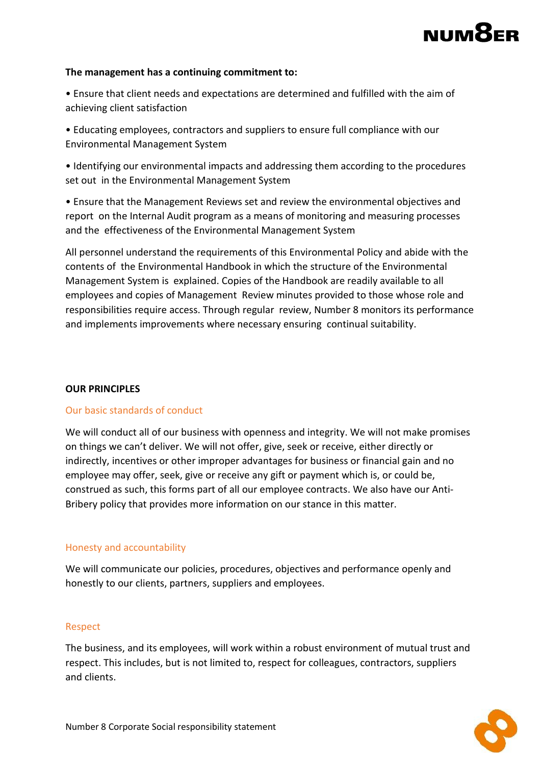# NUM<sup>8</sup>

#### **The management has a continuing commitment to:**

- Ensure that client needs and expectations are determined and fulfilled with the aim of achieving client satisfaction
- Educating employees, contractors and suppliers to ensure full compliance with our Environmental Management System
- Identifying our environmental impacts and addressing them according to the procedures set out in the Environmental Management System
- Ensure that the Management Reviews set and review the environmental objectives and report on the Internal Audit program as a means of monitoring and measuring processes and the effectiveness of the Environmental Management System

All personnel understand the requirements of this Environmental Policy and abide with the contents of the Environmental Handbook in which the structure of the Environmental Management System is explained. Copies of the Handbook are readily available to all employees and copies of Management Review minutes provided to those whose role and responsibilities require access. Through regular review, Number 8 monitors its performance and implements improvements where necessary ensuring continual suitability.

#### **OUR PRINCIPLES**

#### Our basic standards of conduct

We will conduct all of our business with openness and integrity. We will not make promises on things we can't deliver. We will not offer, give, seek or receive, either directly or indirectly, incentives or other improper advantages for business or financial gain and no employee may offer, seek, give or receive any gift or payment which is, or could be, construed as such, this forms part of all our employee contracts. We also have our Anti-Bribery policy that provides more information on our stance in this matter.

#### Honesty and accountability

We will communicate our policies, procedures, objectives and performance openly and honestly to our clients, partners, suppliers and employees.

#### Respect

The business, and its employees, will work within a robust environment of mutual trust and respect. This includes, but is not limited to, respect for colleagues, contractors, suppliers and clients.

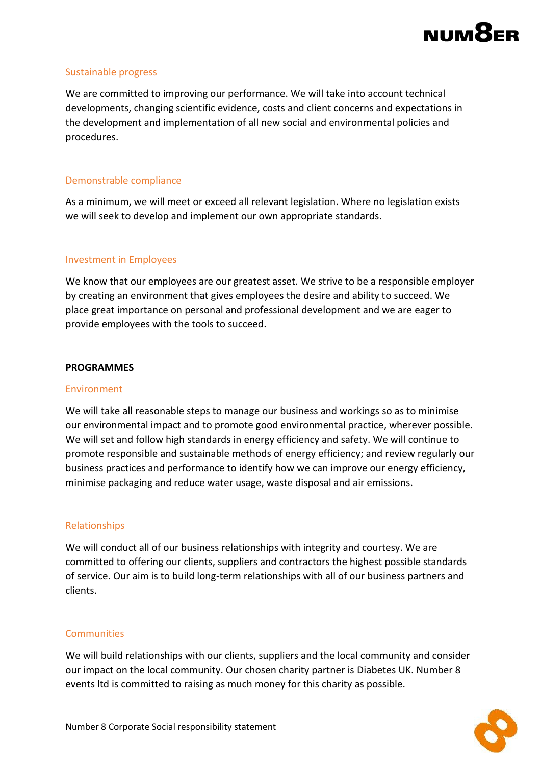## **NUMP**

#### Sustainable progress

We are committed to improving our performance. We will take into account technical developments, changing scientific evidence, costs and client concerns and expectations in the development and implementation of all new social and environmental policies and procedures.

#### Demonstrable compliance

As a minimum, we will meet or exceed all relevant legislation. Where no legislation exists we will seek to develop and implement our own appropriate standards.

#### Investment in Employees

We know that our employees are our greatest asset. We strive to be a responsible employer by creating an environment that gives employees the desire and ability to succeed. We place great importance on personal and professional development and we are eager to provide employees with the tools to succeed.

#### **PROGRAMMES**

#### **Environment**

We will take all reasonable steps to manage our business and workings so as to minimise our environmental impact and to promote good environmental practice, wherever possible. We will set and follow high standards in energy efficiency and safety. We will continue to promote responsible and sustainable methods of energy efficiency; and review regularly our business practices and performance to identify how we can improve our energy efficiency, minimise packaging and reduce water usage, waste disposal and air emissions.

#### Relationships

We will conduct all of our business relationships with integrity and courtesy. We are committed to offering our clients, suppliers and contractors the highest possible standards of service. Our aim is to build long-term relationships with all of our business partners and clients.

#### **Communities**

We will build relationships with our clients, suppliers and the local community and consider our impact on the local community. Our chosen charity partner is Diabetes UK. Number 8 events ltd is committed to raising as much money for this charity as possible.